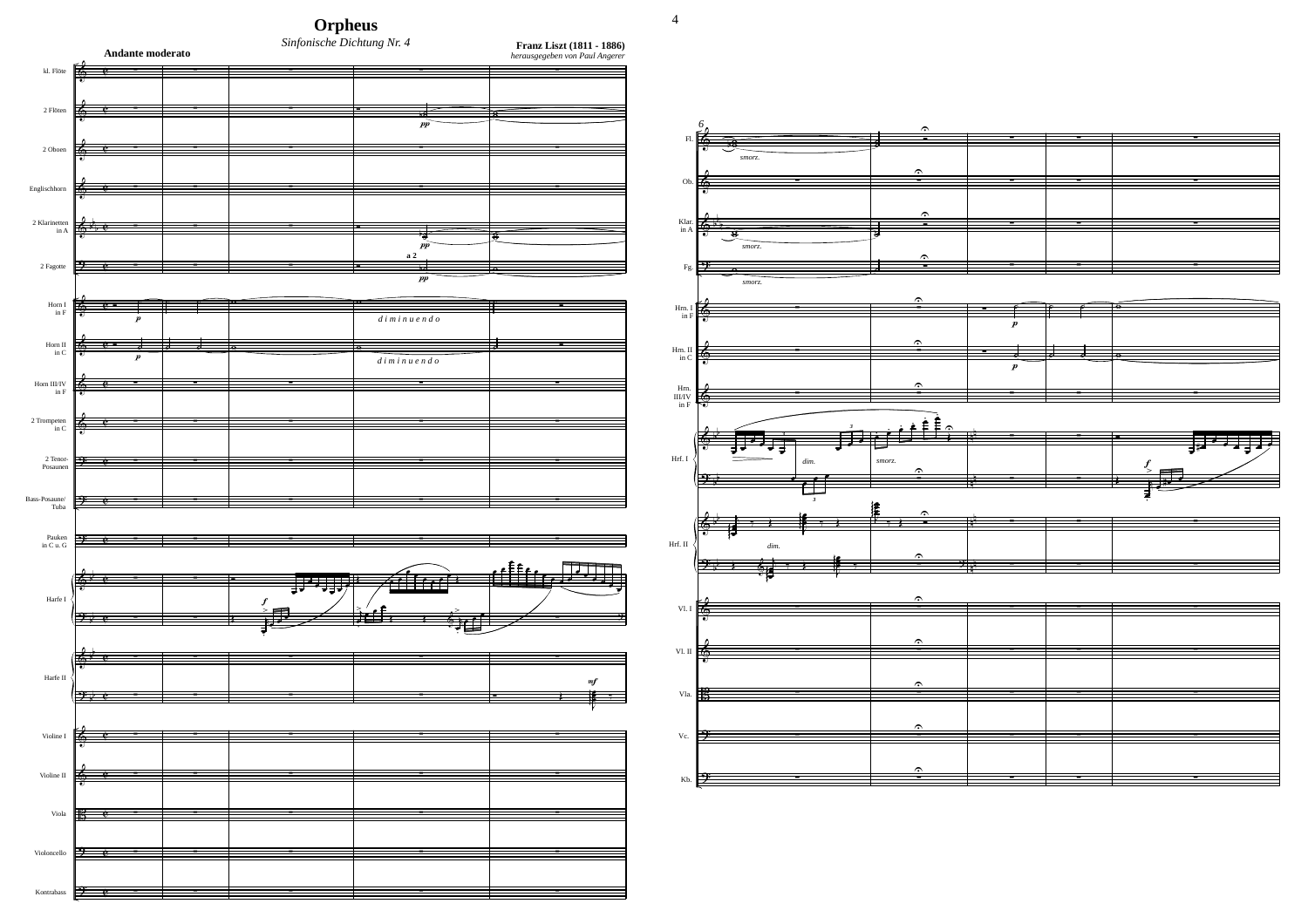

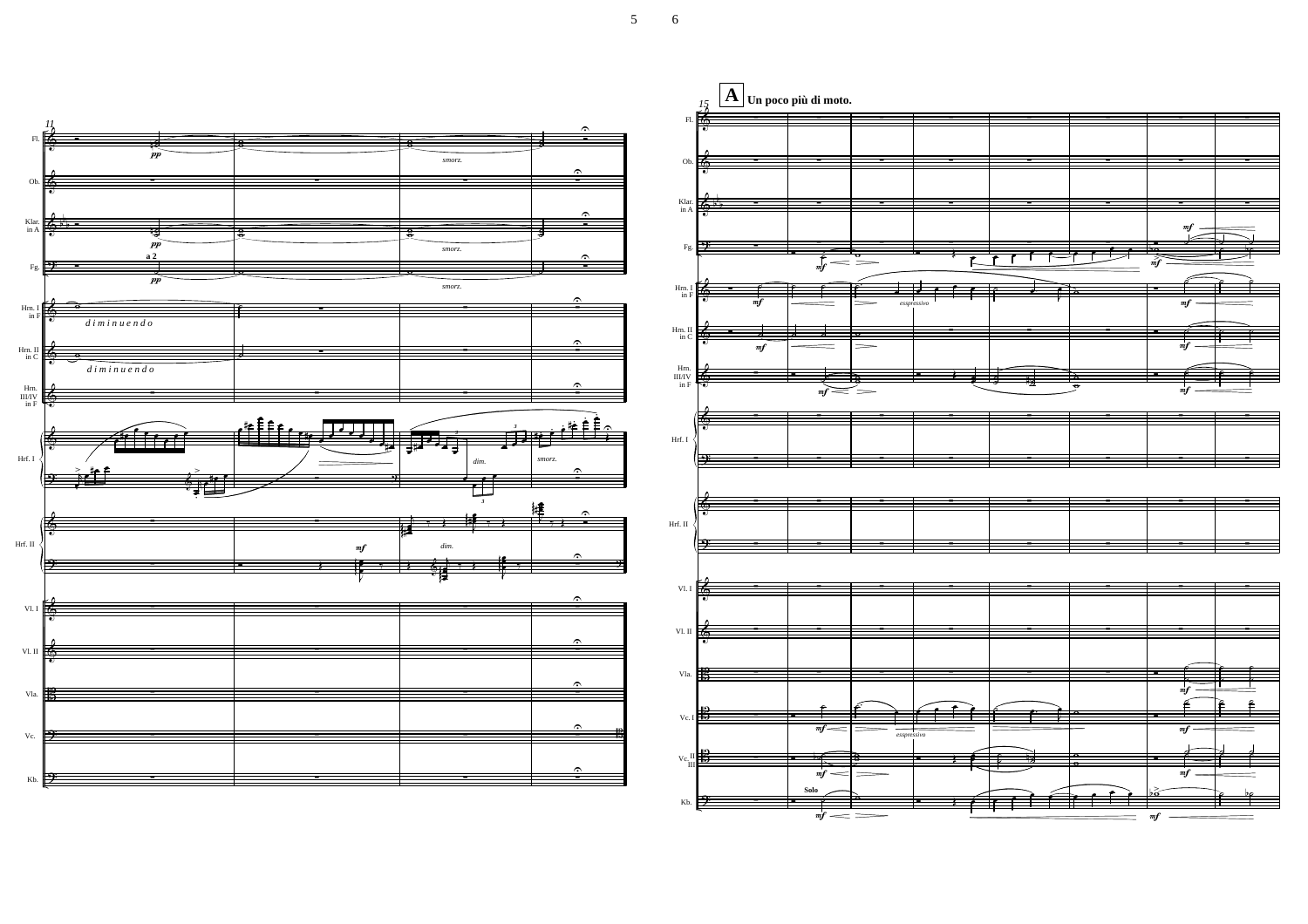

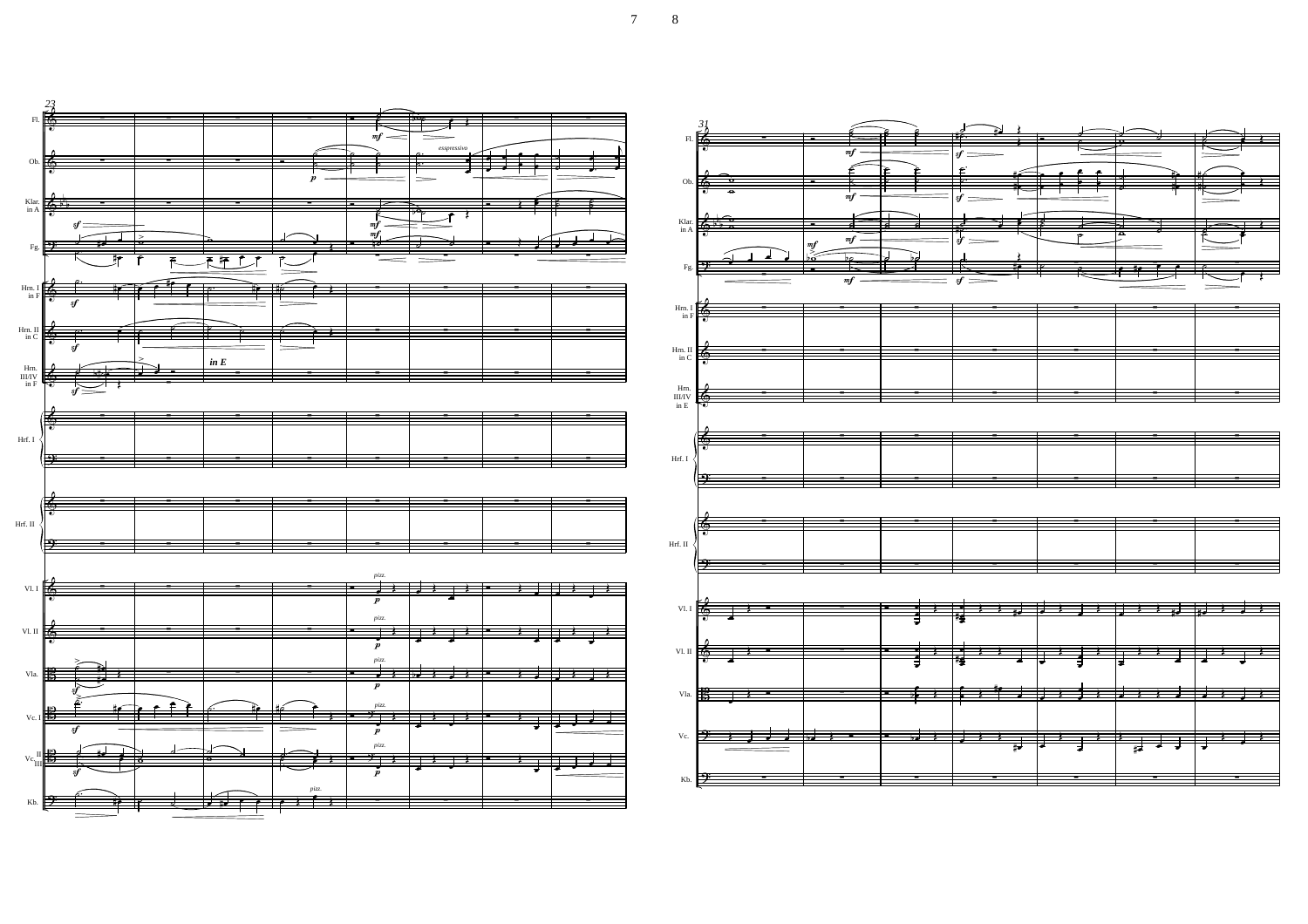78

> œŒ

> œŒ

> œŒ

> œŒ

> œŒ

> œŒ

> œŒ

Œ